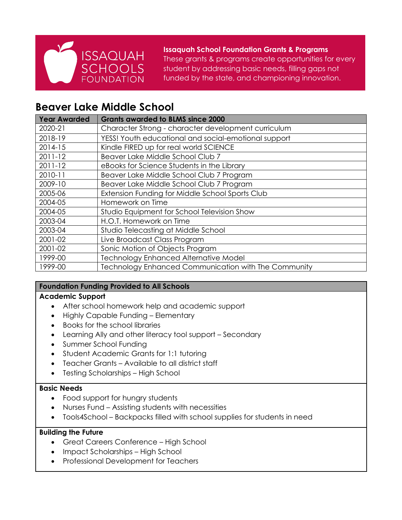

**Issaquah School Foundation Grants & Programs** These grants & programs create opportunities for every student by addressing basic needs, filling gaps not funded by the state, and championing innovation.

# **Beaver Lake Middle School**

| <b>Year Awarded</b> | <b>Grants awarded to BLMS since 2000</b>             |
|---------------------|------------------------------------------------------|
| 2020-21             | Character Strong - character development curriculum  |
| 2018-19             | YESS! Youth educational and social-emotional support |
| 2014-15             | Kindle FIRED up for real world SCIENCE               |
| $2011 - 12$         | Beaver Lake Middle School Club 7                     |
| $2011 - 12$         | eBooks for Science Students in the Library           |
| 2010-11             | Beaver Lake Middle School Club 7 Program             |
| 2009-10             | Beaver Lake Middle School Club 7 Program             |
| 2005-06             | Extension Funding for Middle School Sports Club      |
| 2004-05             | Homework on Time                                     |
| 2004-05             | Studio Equipment for School Television Show          |
| 2003-04             | H.O.T. Homework on Time                              |
| 2003-04             | Studio Telecasting at Middle School                  |
| 2001-02             | Live Broadcast Class Program                         |
| 2001-02             | Sonic Motion of Objects Program                      |
| 1999-00             | <b>Technology Enhanced Alternative Model</b>         |
| 1999-00             | Technology Enhanced Communication with The Community |

# **Foundation Funding Provided to All Schools**

# **Academic Support**

- After school homework help and academic support
- Highly Capable Funding Elementary
- Books for the school libraries
- Learning Ally and other literacy tool support Secondary
- Summer School Funding
- Student Academic Grants for 1:1 tutoring
- Teacher Grants Available to all district staff
- Testing Scholarships High School

#### **Basic Needs**

- Food support for hungry students
- Nurses Fund Assisting students with necessities
- Tools4School Backpacks filled with school supplies for students in need

#### **Building the Future**

- Great Careers Conference High School
- Impact Scholarships High School
- Professional Development for Teachers